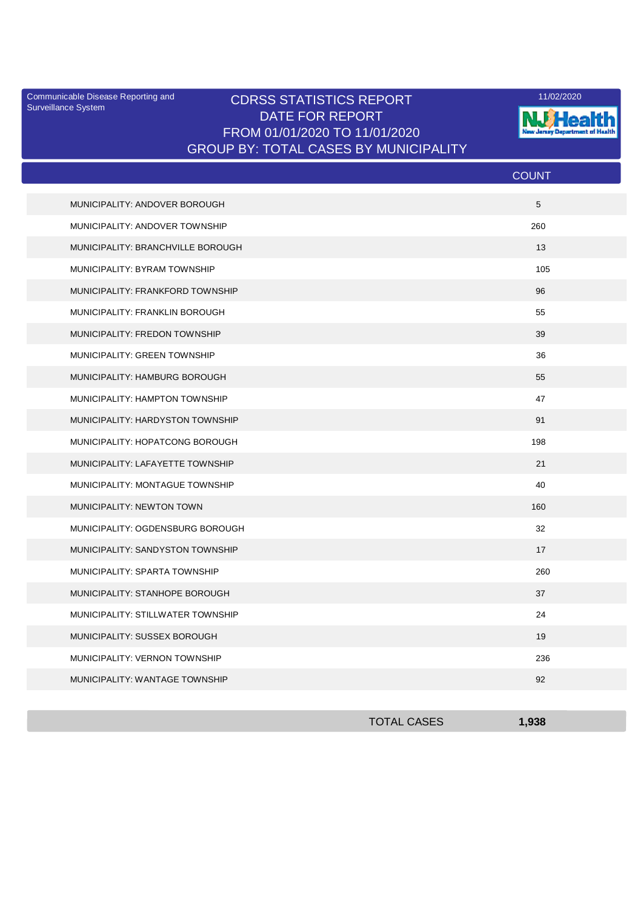Surveillance System

## Communicable Disease Reporting and **CDRSS STATISTICS REPORT** 11/02/2020<br>Surveillance Statem DATE FOR REPORT FROM 01/01/2020 TO 11/01/2020 GROUP BY: TOTAL CASES BY MUNICIPALITY



|                                   | <b>COUNT</b> |
|-----------------------------------|--------------|
| MUNICIPALITY: ANDOVER BOROUGH     | 5            |
| MUNICIPALITY: ANDOVER TOWNSHIP    | 260          |
| MUNICIPALITY: BRANCHVILLE BOROUGH | 13           |
| MUNICIPALITY: BYRAM TOWNSHIP      | 105          |
| MUNICIPALITY: FRANKFORD TOWNSHIP  | 96           |
| MUNICIPALITY: FRANKLIN BOROUGH    | 55           |
| MUNICIPALITY: FREDON TOWNSHIP     | 39           |
| MUNICIPALITY: GREEN TOWNSHIP      | 36           |
| MUNICIPALITY: HAMBURG BOROUGH     | 55           |
| MUNICIPALITY: HAMPTON TOWNSHIP    | 47           |
| MUNICIPALITY: HARDYSTON TOWNSHIP  | 91           |
| MUNICIPALITY: HOPATCONG BOROUGH   | 198          |
| MUNICIPALITY: LAFAYETTE TOWNSHIP  | 21           |
| MUNICIPALITY: MONTAGUE TOWNSHIP   | 40           |
| <b>MUNICIPALITY: NEWTON TOWN</b>  | 160          |
| MUNICIPALITY: OGDENSBURG BOROUGH  | 32           |
| MUNICIPALITY: SANDYSTON TOWNSHIP  | 17           |
| MUNICIPALITY: SPARTA TOWNSHIP     | 260          |
| MUNICIPALITY: STANHOPE BOROUGH    | 37           |
| MUNICIPALITY: STILLWATER TOWNSHIP | 24           |
| MUNICIPALITY: SUSSEX BOROUGH      | 19           |
| MUNICIPALITY: VERNON TOWNSHIP     | 236          |
| MUNICIPALITY: WANTAGE TOWNSHIP    | 92           |

| <b>TOTAL CASES</b> | 1.938 |
|--------------------|-------|
|                    |       |